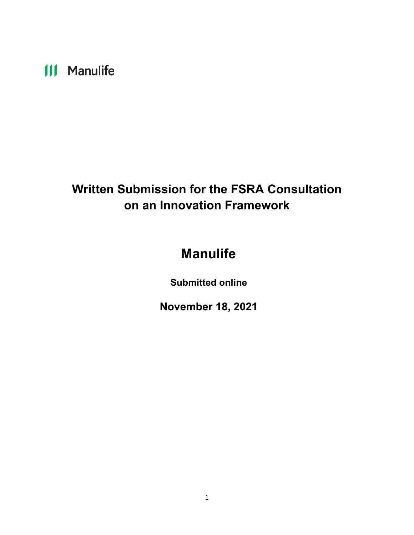# **III** Manulife

## **Written Submission for the FSRA Consultation on an Innovation Framework**

## **Manulife**

**Submitted online**

**November 18, 2021**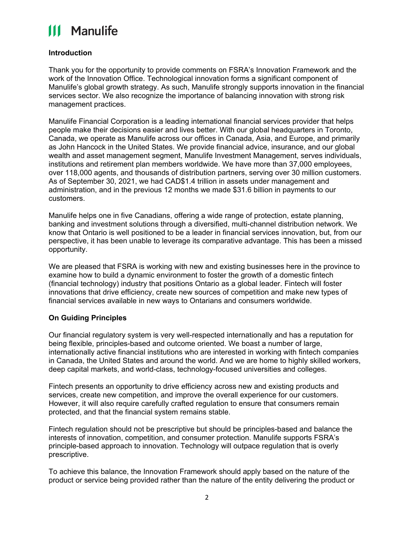# **111 Manulife**

### **Introduction**

Thank you for the opportunity to provide comments on FSRA's Innovation Framework and the work of the Innovation Office. Technological innovation forms a significant component of Manulife's global growth strategy. As such, Manulife strongly supports innovation in the financial services sector. We also recognize the importance of balancing innovation with strong risk management practices.

Manulife Financial Corporation is a leading international financial services provider that helps people make their decisions easier and lives better. With our global headquarters in Toronto, Canada, we operate as Manulife across our offices in Canada, Asia, and Europe, and primarily as John Hancock in the United States. We provide financial advice, insurance, and our global wealth and asset management segment, Manulife Investment Management, serves individuals, institutions and retirement plan members worldwide. We have more than 37,000 employees, over 118,000 agents, and thousands of distribution partners, serving over 30 million customers. As of September 30, 2021, we had CAD\$1.4 trillion in assets under management and administration, and in the previous 12 months we made \$31.6 billion in payments to our customers.

Manulife helps one in five Canadians, offering a wide range of protection, estate planning, banking and investment solutions through a diversified, multi-channel distribution network. We know that Ontario is well positioned to be a leader in financial services innovation, but, from our perspective, it has been unable to leverage its comparative advantage. This has been a missed opportunity.

We are pleased that FSRA is working with new and existing businesses here in the province to examine how to build a dynamic environment to foster the growth of a domestic fintech (financial technology) industry that positions Ontario as a global leader. Fintech will foster innovations that drive efficiency, create new sources of competition and make new types of financial services available in new ways to Ontarians and consumers worldwide.

### **On Guiding Principles**

Our financial regulatory system is very well-respected internationally and has a reputation for being flexible, principles-based and outcome oriented. We boast a number of large, internationally active financial institutions who are interested in working with fintech companies in Canada, the United States and around the world. And we are home to highly skilled workers, deep capital markets, and world-class, technology-focused universities and colleges.

Fintech presents an opportunity to drive efficiency across new and existing products and services, create new competition, and improve the overall experience for our customers. However, it will also require carefully crafted regulation to ensure that consumers remain protected, and that the financial system remains stable.

Fintech regulation should not be prescriptive but should be principles-based and balance the interests of innovation, competition, and consumer protection. Manulife supports FSRA's principle-based approach to innovation. Technology will outpace regulation that is overly prescriptive.

To achieve this balance, the Innovation Framework should apply based on the nature of the product or service being provided rather than the nature of the entity delivering the product or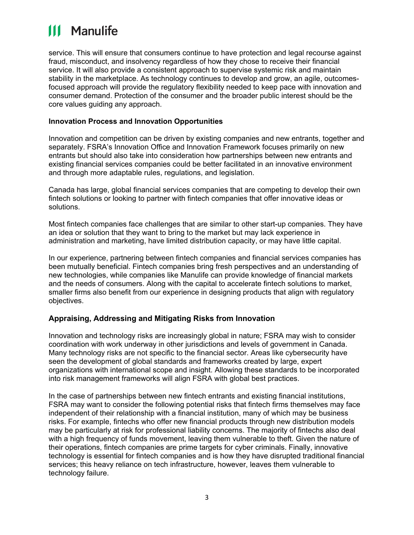# **111 Manulife**

service. This will ensure that consumers continue to have protection and legal recourse against fraud, misconduct, and insolvency regardless of how they chose to receive their financial service. It will also provide a consistent approach to supervise systemic risk and maintain stability in the marketplace. As technology continues to develop and grow, an agile, outcomesfocused approach will provide the regulatory flexibility needed to keep pace with innovation and consumer demand. Protection of the consumer and the broader public interest should be the core values guiding any approach.

#### **Innovation Process and Innovation Opportunities**

Innovation and competition can be driven by existing companies and new entrants, together and separately. FSRA's Innovation Office and Innovation Framework focuses primarily on new entrants but should also take into consideration how partnerships between new entrants and existing financial services companies could be better facilitated in an innovative environment and through more adaptable rules, regulations, and legislation.

Canada has large, global financial services companies that are competing to develop their own fintech solutions or looking to partner with fintech companies that offer innovative ideas or solutions.

Most fintech companies face challenges that are similar to other start-up companies. They have an idea or solution that they want to bring to the market but may lack experience in administration and marketing, have limited distribution capacity, or may have little capital.

In our experience, partnering between fintech companies and financial services companies has been mutually beneficial. Fintech companies bring fresh perspectives and an understanding of new technologies, while companies like Manulife can provide knowledge of financial markets and the needs of consumers. Along with the capital to accelerate fintech solutions to market, smaller firms also benefit from our experience in designing products that align with regulatory objectives.

#### **Appraising, Addressing and Mitigating Risks from Innovation**

Innovation and technology risks are increasingly global in nature; FSRA may wish to consider coordination with work underway in other jurisdictions and levels of government in Canada. Many technology risks are not specific to the financial sector. Areas like cybersecurity have seen the development of global standards and frameworks created by large, expert organizations with international scope and insight. Allowing these standards to be incorporated into risk management frameworks will align FSRA with global best practices.

In the case of partnerships between new fintech entrants and existing financial institutions, FSRA may want to consider the following potential risks that fintech firms themselves may face independent of their relationship with a financial institution, many of which may be business risks. For example, fintechs who offer new financial products through new distribution models may be particularly at risk for professional liability concerns. The majority of fintechs also deal with a high frequency of funds movement, leaving them vulnerable to theft. Given the nature of their operations, fintech companies are prime targets for cyber criminals. Finally, innovative technology is essential for fintech companies and is how they have disrupted traditional financial services; this heavy reliance on tech infrastructure, however, leaves them vulnerable to technology failure.